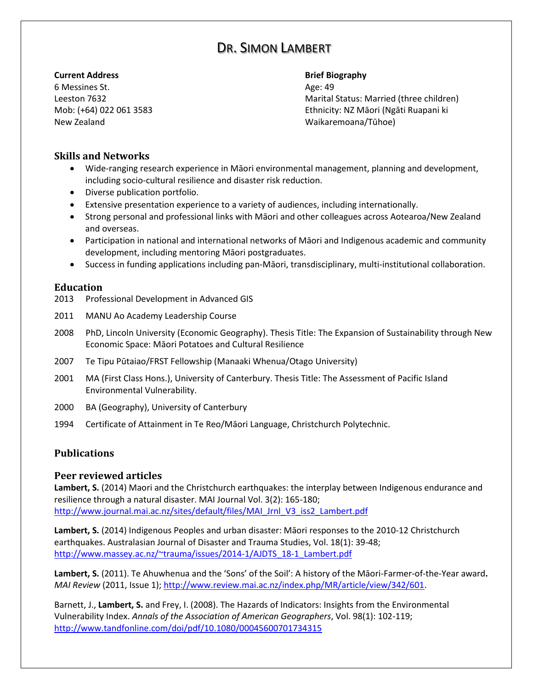# DR. SIMON LAMBERT

#### **Current Address Brief Biography**

6 Messines St. Age: 49 New Zealand Waikaremoana/Tūhoe)

Leeston 7632 Marital Status: Married (three children) Mob: (+64) 022 061 3583 Ethnicity: NZ Māori (Ngāti Ruapani ki

### **Skills and Networks**

- Wide-ranging research experience in Māori environmental management, planning and development, including socio-cultural resilience and disaster risk reduction.
- Diverse publication portfolio.
- Extensive presentation experience to a variety of audiences, including internationally.
- Strong personal and professional links with Māori and other colleagues across Aotearoa/New Zealand and overseas.
- Participation in national and international networks of Māori and Indigenous academic and community development, including mentoring Māori postgraduates.
- Success in funding applications including pan-Māori, transdisciplinary, multi-institutional collaboration.

#### **Education**

- 2013 Professional Development in Advanced GIS
- 2011 MANU Ao Academy Leadership Course
- 2008 PhD, Lincoln University (Economic Geography). Thesis Title: The Expansion of Sustainability through New Economic Space: Māori Potatoes and Cultural Resilience
- 2007 Te Tipu Pūtaiao/FRST Fellowship (Manaaki Whenua/Otago University)
- 2001 MA (First Class Hons.), University of Canterbury. Thesis Title: The Assessment of Pacific Island Environmental Vulnerability.
- 2000 BA (Geography), University of Canterbury
- 1994 Certificate of Attainment in Te Reo/Māori Language, Christchurch Polytechnic.

## **Publications**

#### **Peer reviewed articles**

Lambert, S. (2014) Maori and the Christchurch earthquakes: the interplay between Indigenous endurance and resilience through a natural disaster. MAI Journal Vol. 3(2): 165-180; [http://www.journal.mai.ac.nz/sites/default/files/MAI\\_Jrnl\\_V3\\_iss2\\_Lambert.pdf](http://www.journal.mai.ac.nz/sites/default/files/MAI_Jrnl_V3_iss2_Lambert.pdf)

**Lambert, S.** (2014) Indigenous Peoples and urban disaster: Māori responses to the 2010-12 Christchurch earthquakes. Australasian Journal of Disaster and Trauma Studies, Vol. 18(1): 39-48; [http://www.massey.ac.nz/~trauma/issues/2014-1/AJDTS\\_18-1\\_Lambert.pdf](http://www.massey.ac.nz/~trauma/issues/2014-1/AJDTS_18-1_Lambert.pdf)

**Lambert, S.** (2011). Te Ahuwhenua and the 'Sons' of the Soil': A history of the Māori-Farmer-of-the-Year award**.** *MAI Review* (2011, Issue 1); [http://www.review.mai.ac.nz/index.php/MR/article/view/342/601.](http://www.review.mai.ac.nz/index.php/MR/article/view/342/601)

Barnett, J., **Lambert, S.** and Frey, I. (2008). The Hazards of Indicators: Insights from the Environmental Vulnerability Index. *Annals of the Association of American Geographers*, Vol. 98(1): 102-119; <http://www.tandfonline.com/doi/pdf/10.1080/00045600701734315>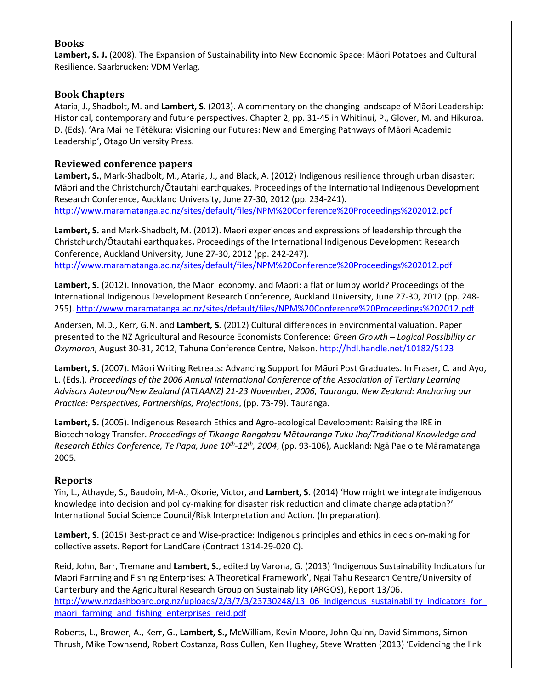## **Books**

**Lambert, S. J.** (2008). The Expansion of Sustainability into New Economic Space: Māori Potatoes and Cultural Resilience. Saarbrucken: VDM Verlag.

## **Book Chapters**

Ataria, J., Shadbolt, M. and **Lambert, S**. (2013). A commentary on the changing landscape of Māori Leadership: Historical, contemporary and future perspectives. Chapter 2, pp. 31-45 in Whitinui, P., Glover, M. and Hikuroa, D. (Eds), 'Ara Mai he Tētēkura: Visioning our Futures: New and Emerging Pathways of Māori Academic Leadership', Otago University Press.

### **Reviewed conference papers**

**Lambert, S.**, Mark-Shadbolt, M., Ataria, J., and Black, A. (2012) Indigenous resilience through urban disaster: Māori and the Christchurch/Ōtautahi earthquakes. Proceedings of the International Indigenous Development Research Conference, Auckland University, June 27-30, 2012 (pp. 234-241). <http://www.maramatanga.ac.nz/sites/default/files/NPM%20Conference%20Proceedings%202012.pdf>

**Lambert, S.** and Mark-Shadbolt, M. (2012). Maori experiences and expressions of leadership through the Christchurch/Ōtautahi earthquakes**.** Proceedings of the International Indigenous Development Research Conference, Auckland University, June 27-30, 2012 (pp. 242-247). <http://www.maramatanga.ac.nz/sites/default/files/NPM%20Conference%20Proceedings%202012.pdf>

**Lambert, S.** (2012). Innovation, the Maori economy, and Maori: a flat or lumpy world? Proceedings of the International Indigenous Development Research Conference, Auckland University, June 27-30, 2012 (pp. 248- 255). <http://www.maramatanga.ac.nz/sites/default/files/NPM%20Conference%20Proceedings%202012.pdf>

Andersen, M.D., Kerr, G.N. and **Lambert, S.** (2012) Cultural differences in environmental valuation. Paper presented to the NZ Agricultural and Resource Economists Conference: *Green Growth – Logical Possibility or Oxymoron*, August 30-31, 2012, Tahuna Conference Centre, Nelson. <http://hdl.handle.net/10182/5123>

**Lambert, S.** (2007). Māori Writing Retreats: Advancing Support for Māori Post Graduates. In Fraser, C. and Ayo, L. (Eds.). *Proceedings of the 2006 Annual International Conference of the Association of Tertiary Learning Advisors Aotearoa/New Zealand (ATLAANZ) 21-23 November, 2006, Tauranga, New Zealand: Anchoring our Practice: Perspectives, Partnerships, Projections*, (pp. 73-79). Tauranga.

**Lambert, S.** (2005). Indigenous Research Ethics and Agro-ecological Development: Raising the IRE in Biotechnology Transfer. *Proceedings of Tikanga Rangahau Mātauranga Tuku Iho/Traditional Knowledge and Research Ethics Conference, Te Papa, June 10th -12th, 2004*, (pp. 93-106), Auckland: Ngā Pae o te Māramatanga 2005.

#### **Reports**

Yin, L., Athayde, S., Baudoin, M-A., Okorie, Victor, and **Lambert, S.** (2014) 'How might we integrate indigenous knowledge into decision and policy-making for disaster risk reduction and climate change adaptation?' International Social Science Council/Risk Interpretation and Action. (In preparation).

**Lambert, S.** (2015) Best-practice and Wise-practice: Indigenous principles and ethics in decision-making for collective assets. Report for LandCare (Contract 1314-29-020 C).

Reid, John, Barr, Tremane and **Lambert, S.**, edited by Varona, G. (2013) 'Indigenous Sustainability Indicators for Maori Farming and Fishing Enterprises: A Theoretical Framework', Ngai Tahu Research Centre/University of Canterbury and the Agricultural Research Group on Sustainability (ARGOS), Report 13/06. http://www.nzdashboard.org.nz/uploads/2/3/7/3/23730248/13\_06\_indigenous\_sustainability\_indicators\_for maori farming and fishing enterprises reid.pdf

Roberts, L., Brower, A., Kerr, G., **Lambert, S.,** McWilliam, Kevin Moore, John Quinn, David Simmons, Simon Thrush, Mike Townsend, Robert Costanza, Ross Cullen, Ken Hughey, Steve Wratten (2013) 'Evidencing the link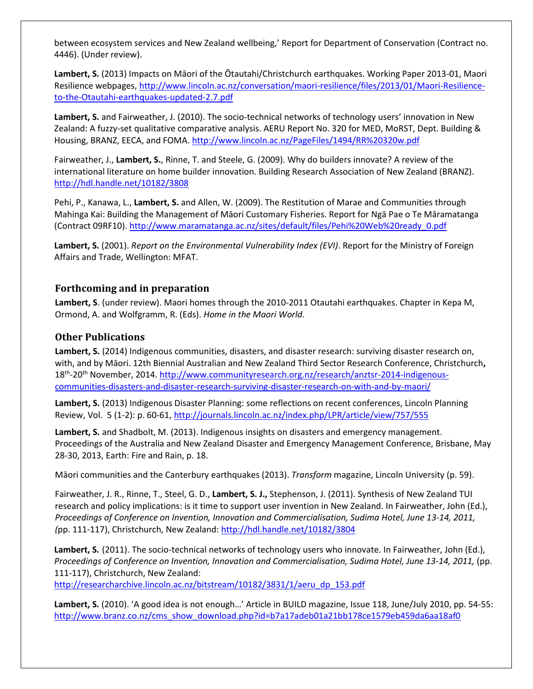between ecosystem services and New Zealand wellbeing,' Report for Department of Conservation (Contract no. 4446). (Under review).

**Lambert, S.** (2013) Impacts on Māori of the Ōtautahi/Christchurch earthquakes. Working Paper 2013-01, Maori Resilience webpages, [http://www.lincoln.ac.nz/conversation/maori-resilience/files/2013/01/Maori-Resilience](http://www.lincoln.ac.nz/conversation/maori-resilience/files/2013/01/Maori-Resilience-to-the-Otautahi-earthquakes-updated-2.7.pdf)[to-the-Otautahi-earthquakes-updated-2.7.pdf](http://www.lincoln.ac.nz/conversation/maori-resilience/files/2013/01/Maori-Resilience-to-the-Otautahi-earthquakes-updated-2.7.pdf)

**Lambert, S.** and Fairweather, J. (2010). The socio-technical networks of technology users' innovation in New Zealand: A fuzzy-set qualitative comparative analysis. AERU Report No. 320 for MED, MoRST, Dept. Building & Housing, BRANZ, EECA, and FOMA. <http://www.lincoln.ac.nz/PageFiles/1494/RR%20320w.pdf>

Fairweather, J., **Lambert, S.**, Rinne, T. and Steele, G. (2009). Why do builders innovate? A review of the international literature on home builder innovation. Building Research Association of New Zealand (BRANZ). <http://hdl.handle.net/10182/3808>

Pehi, P., Kanawa, L., **Lambert, S.** and Allen, W. (2009). The Restitution of Marae and Communities through Mahinga Kai: Building the Management of Māori Customary Fisheries. Report for Ngā Pae o Te Māramatanga (Contract 09RF10). [http://www.maramatanga.ac.nz/sites/default/files/Pehi%20Web%20ready\\_0.pdf](http://www.maramatanga.ac.nz/sites/default/files/Pehi%20Web%20ready_0.pdf)

**Lambert, S.** (2001). *Report on the Environmental Vulnerability Index (EVI)*. Report for the Ministry of Foreign Affairs and Trade, Wellington: MFAT.

### **Forthcoming and in preparation**

**Lambert, S**. (under review). Maori homes through the 2010-2011 Otautahi earthquakes. Chapter in Kepa M, Ormond, A. and Wolfgramm, R. (Eds). *Home in the Maori World*.

### **Other Publications**

Lambert, S. (2014) Indigenous communities, disasters, and disaster research: surviving disaster research on, with, and by Māori. 12th Biennial Australian and New Zealand Third Sector Research Conference, Christchurch**,**  18<sup>th</sup>-20<sup>th</sup> November, 2014. [http://www.communityresearch.org.nz/research/anztsr-2014-indigenous](http://www.communityresearch.org.nz/research/anztsr-2014-indigenous-communities-disasters-and-disaster-research-surviving-disaster-research-on-with-and-by-maori/)[communities-disasters-and-disaster-research-surviving-disaster-research-on-with-and-by-maori/](http://www.communityresearch.org.nz/research/anztsr-2014-indigenous-communities-disasters-and-disaster-research-surviving-disaster-research-on-with-and-by-maori/)

**Lambert, S.** (2013) Indigenous Disaster Planning: some reflections on recent conferences, Lincoln Planning Review, Vol. 5 (1-2): p. 60-61[, http://journals.lincoln.ac.nz/index.php/LPR/article/view/757/555](http://journals.lincoln.ac.nz/index.php/LPR/article/view/757/555)

**Lambert, S.** and Shadbolt, M. (2013). Indigenous insights on disasters and emergency management. Proceedings of the Australia and New Zealand Disaster and Emergency Management Conference, Brisbane, May 28-30, 2013, Earth: Fire and Rain, p. 18.

Māori communities and the Canterbury earthquakes (2013). *Transform* magazine, Lincoln University (p. 59).

Fairweather, J. R., Rinne, T., Steel, G. D., **Lambert, S. J.,** Stephenson, J. (2011). Synthesis of New Zealand TUI research and policy implications: is it time to support user invention in New Zealand. In Fairweather, John (Ed.), *Proceedings of Conference on Invention, Innovation and Commercialisation, Sudima Hotel, June 13-14, 2011, (*pp. 111-117), Christchurch, New Zealand: <http://hdl.handle.net/10182/3804>

**Lambert, S.** (2011). The socio-technical networks of technology users who innovate. In Fairweather, John (Ed.), *Proceedings of Conference on Invention, Innovation and Commercialisation, Sudima Hotel, June 13-14, 2011,* (pp. 111-117), Christchurch, New Zealand:

[http://researcharchive.lincoln.ac.nz/bitstream/10182/3831/1/aeru\\_dp\\_153.pdf](http://researcharchive.lincoln.ac.nz/bitstream/10182/3831/1/aeru_dp_153.pdf)

**Lambert, S.** (2010). 'A good idea is not enough…' Article in BUILD magazine, Issue 118, June/July 2010, pp. 54-55: [http://www.branz.co.nz/cms\\_show\\_download.php?id=b7a17adeb01a21bb178ce1579eb459da6aa18af0](http://www.branz.co.nz/cms_show_download.php?id=b7a17adeb01a21bb178ce1579eb459da6aa18af0)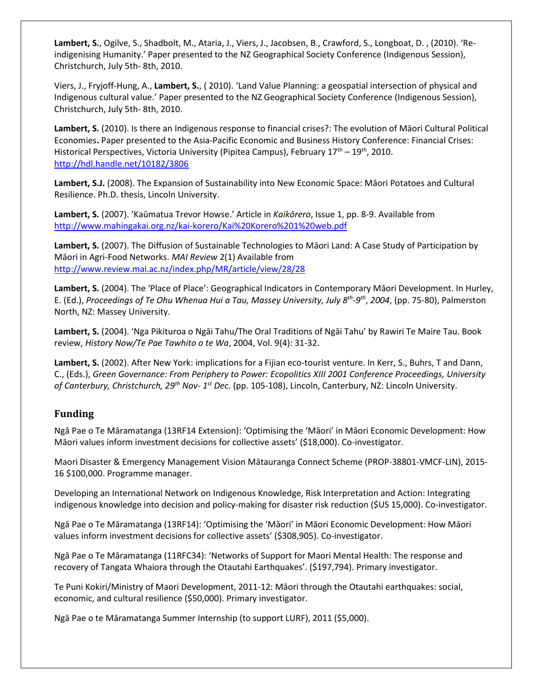**Lambert, S.**, Ogilve, S., Shadbolt, M., Ataria, J., Viers, J., Jacobsen, B., Crawford, S., Longboat, D. , (2010). 'Reindigenising Humanity.' Paper presented to the NZ Geographical Society Conference (Indigenous Session), Christchurch, July 5th- 8th, 2010.

Viers, J., Fryjoff-Hung, A., **Lambert, S.**, ( 2010). 'Land Value Planning: a geospatial intersection of physical and Indigenous cultural value.' Paper presented to the NZ Geographical Society Conference (Indigenous Session), Christchurch, July 5th- 8th, 2010.

**Lambert, S.** (2010). Is there an Indigenous response to financial crises?: The evolution of Māori Cultural Political Economies**.** Paper presented to the Asia-Pacific Economic and Business History Conference: Financial Crises: Historical Perspectives, Victoria University (Pipitea Campus), February  $17<sup>th</sup> - 19<sup>th</sup>$ , 2010. <http://hdl.handle.net/10182/3806>

**Lambert, S.J.** (2008). The Expansion of Sustainability into New Economic Space: Māori Potatoes and Cultural Resilience. Ph.D. thesis, Lincoln University.

**Lambert, S.** (2007). 'Kaūmatua Trevor Howse.' Article in *Kaikōrero*, Issue 1, pp. 8-9. Available from <http://www.mahingakai.org.nz/kai-korero/Kai%20Korero%201%20web.pdf>

**Lambert, S.** (2007). The Diffusion of Sustainable Technologies to Māori Land: A Case Study of Participation by Māori in Agri-Food Networks. *MAI Review* 2(1) Available from <http://www.review.mai.ac.nz/index.php/MR/article/view/28/28>

**Lambert, S.** (2004). The 'Place of Place': Geographical Indicators in Contemporary Māori Development. In Hurley, E. (Ed.), *Proceedings of Te Ohu Whenua Hui a Tau, Massey University, July 8th -9 th* , *2004*, (pp. 75-80), Palmerston North, NZ: Massey University.

**Lambert, S.** (2004). 'Nga Pikituroa o Ngāi Tahu/The Oral Traditions of Ngāi Tahu' by Rawiri Te Maire Tau. Book review, *History Now/Te Pae Tawhito o te Wa*, 2004, Vol. 9(4): 31-32.

**Lambert, S.** (2002). After New York: implications for a Fijian eco-tourist venture. In Kerr, S., Buhrs, T and Dann, C., (Eds.), *Green Governance: From Periphery to Power: Ecopolitics XIII 2001 Conference Proceedings, University of Canterbury, Christchurch, 29th Nov- 1 st Dec.* (pp. 105-108), Lincoln, Canterbury, NZ: Lincoln University.

#### **Funding**

Ngā Pae o Te Māramatanga (13RF14 Extension): 'Optimising the 'Māori' in Māori Economic Development: How Māori values inform investment decisions for collective assets' (\$18,000). Co-investigator.

Maori Disaster & Emergency Management Vision Mātauranga Connect Scheme (PROP‐38801‐VMCF‐LIN), 2015- 16 \$100,000. Programme manager.

Developing an International Network on Indigenous Knowledge, Risk Interpretation and Action: Integrating indigenous knowledge into decision and policy-making for disaster risk reduction (\$US 15,000). Co-investigator.

Ngā Pae o Te Māramatanga (13RF14): 'Optimising the 'Māori' in Māori Economic Development: How Māori values inform investment decisions for collective assets' (\$308,905). Co-investigator.

Ngā Pae o Te Māramatanga (11RFC34): 'Networks of Support for Maori Mental Health: The response and recovery of Tangata Whaiora through the Otautahi Earthquakes'. (\$197,794). Primary investigator.

Te Puni Kokiri/Ministry of Maori Development, 2011-12: Māori through the Otautahi earthquakes: social, economic, and cultural resilience (\$50,000). Primary investigator.

Ngā Pae o te Māramatanga Summer Internship (to support LURF), 2011 (\$5,000).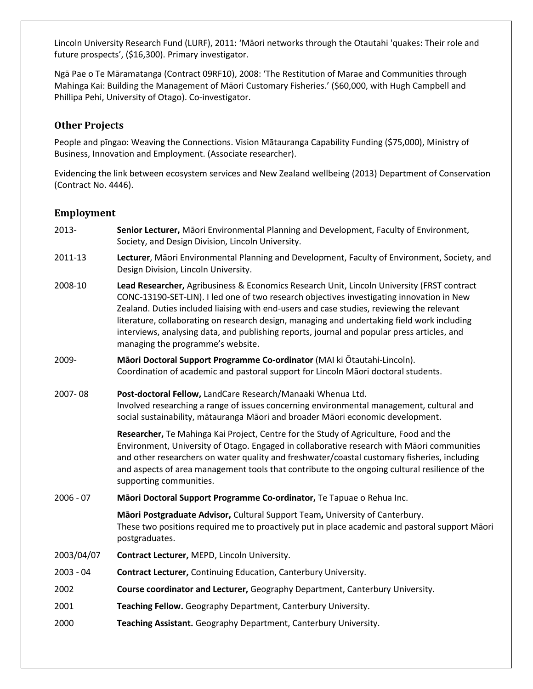Lincoln University Research Fund (LURF), 2011: 'Māori networks through the Otautahi 'quakes: Their role and future prospects', (\$16,300). Primary investigator.

Ngā Pae o Te Māramatanga (Contract 09RF10), 2008: 'The Restitution of Marae and Communities through Mahinga Kai: Building the Management of Māori Customary Fisheries.' (\$60,000, with Hugh Campbell and Phillipa Pehi, University of Otago). Co-investigator.

## **Other Projects**

People and pīngao: Weaving the Connections. Vision Mātauranga Capability Funding (\$75,000), Ministry of Business, Innovation and Employment. (Associate researcher).

Evidencing the link between ecosystem services and New Zealand wellbeing (2013) Department of Conservation (Contract No. 4446).

### **Employment**

- 2013- **Senior Lecturer,** Māori Environmental Planning and Development, Faculty of Environment, Society, and Design Division, Lincoln University.
- 2011-13 **Lecturer**, Māori Environmental Planning and Development, Faculty of Environment, Society, and Design Division, Lincoln University.
- 2008-10 **Lead Researcher,** Agribusiness & Economics Research Unit, Lincoln University (FRST contract CONC-13190-SET-LIN). I led one of two research objectives investigating innovation in New Zealand. Duties included liaising with end-users and case studies, reviewing the relevant literature, collaborating on research design, managing and undertaking field work including interviews, analysing data, and publishing reports, journal and popular press articles, and managing the programme's website.
- 2009- **Māori Doctoral Support Programme Co-ordinator** (MAI ki Ōtautahi-Lincoln). Coordination of academic and pastoral support for Lincoln Māori doctoral students.
- 2007- 08 **Post-doctoral Fellow,** LandCare Research/Manaaki Whenua Ltd. Involved researching a range of issues concerning environmental management, cultural and social sustainability, mātauranga Māori and broader Māori economic development.

**Researcher,** Te Mahinga Kai Project, Centre for the Study of Agriculture, Food and the Environment, University of Otago. Engaged in collaborative research with Māori communities and other researchers on water quality and freshwater/coastal customary fisheries, including and aspects of area management tools that contribute to the ongoing cultural resilience of the supporting communities.

2006 - 07 **Māori Doctoral Support Programme Co-ordinator,** Te Tapuae o Rehua Inc.

**Māori Postgraduate Advisor,** Cultural Support Team**,** University of Canterbury. These two positions required me to proactively put in place academic and pastoral support Māori postgraduates.

- 2003/04/07 **Contract Lecturer,** MEPD, Lincoln University.
- 2003 04 **Contract Lecturer,** Continuing Education, Canterbury University.
- 2002 **Course coordinator and Lecturer,** Geography Department, Canterbury University.
- 2001 **Teaching Fellow.** Geography Department, Canterbury University.
- 2000 **Teaching Assistant.** Geography Department, Canterbury University.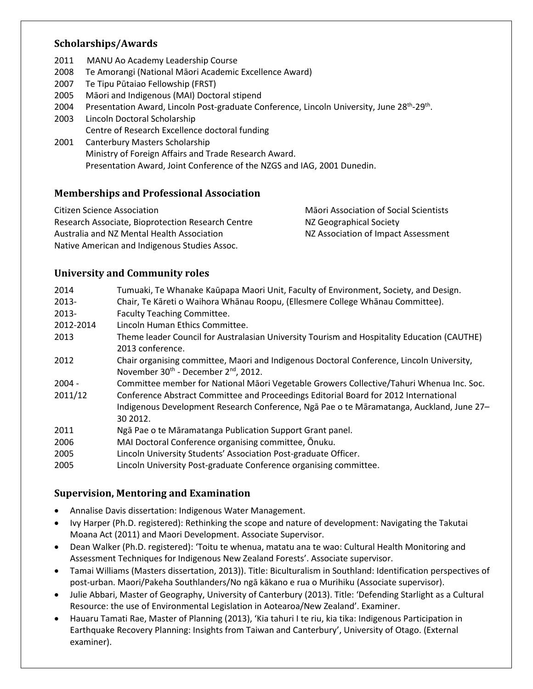## **Scholarships/Awards**

- 2011 MANU Ao Academy Leadership Course
- 2008 Te Amorangi (National Māori Academic Excellence Award)
- 2007 Te Tipu Pūtaiao Fellowship (FRST)
- 2005 Māori and Indigenous (MAI) Doctoral stipend
- 2004 Presentation Award, Lincoln Post-graduate Conference, Lincoln University, June 28<sup>th</sup>-29<sup>th</sup>.
- 2003 Lincoln Doctoral Scholarship Centre of Research Excellence doctoral funding
- 2001 Canterbury Masters Scholarship Ministry of Foreign Affairs and Trade Research Award. Presentation Award, Joint Conference of the NZGS and IAG, 2001 Dunedin.

## **Memberships and Professional Association**

Citizen Science Association Māori Association of Social Scientists Research Associate, Bioprotection Research Centre MZ Geographical Society Australia and NZ Mental Health Association NZ Association of Impact Assessment Native American and Indigenous Studies Assoc.

## **University and Community roles**

| 2014      | Tumuaki, Te Whanake Kaūpapa Maori Unit, Faculty of Environment, Society, and Design.        |
|-----------|---------------------------------------------------------------------------------------------|
| 2013-     | Chair, Te Kāreti o Waihora Whānau Roopu, (Ellesmere College Whānau Committee).              |
| 2013-     | <b>Faculty Teaching Committee.</b>                                                          |
| 2012-2014 | Lincoln Human Ethics Committee.                                                             |
| 2013      | Theme leader Council for Australasian University Tourism and Hospitality Education (CAUTHE) |
|           | 2013 conference.                                                                            |
| 2012      | Chair organising committee, Maori and Indigenous Doctoral Conference, Lincoln University,   |
|           | November 30 <sup>th</sup> - December 2 <sup>nd</sup> , 2012.                                |
| $2004 -$  | Committee member for National Māori Vegetable Growers Collective/Tahuri Whenua Inc. Soc.    |
| 2011/12   | Conference Abstract Committee and Proceedings Editorial Board for 2012 International        |
|           | Indigenous Development Research Conference, Nga Pae o te Maramatanga, Auckland, June 27-    |
|           | 30 2012.                                                                                    |
| 2011      | Ngā Pae o te Māramatanga Publication Support Grant panel.                                   |
| 2006      | MAI Doctoral Conference organising committee, Onuku.                                        |
| 2005      | Lincoln University Students' Association Post-graduate Officer.                             |
| 2005      | Lincoln University Post-graduate Conference organising committee.                           |

## **Supervision, Mentoring and Examination**

- Annalise Davis dissertation: Indigenous Water Management.
- Ivy Harper (Ph.D. registered): Rethinking the scope and nature of development: Navigating the Takutai Moana Act (2011) and Maori Development. Associate Supervisor.
- Dean Walker (Ph.D. registered): 'Toitu te whenua, matatu ana te wao: Cultural Health Monitoring and Assessment Techniques for Indigenous New Zealand Forests'. Associate supervisor.
- Tamai Williams (Masters dissertation, 2013)). Title: Biculturalism in Southland: Identification perspectives of post-urban. Maori/Pakeha Southlanders/No ngā kākano e rua o Murihiku (Associate supervisor).
- Julie Abbari, Master of Geography, University of Canterbury (2013). Title: 'Defending Starlight as a Cultural Resource: the use of Environmental Legislation in Aotearoa/New Zealand'. Examiner.
- Hauaru Tamati Rae, Master of Planning (2013), 'Kia tahuri I te riu, kia tika: Indigenous Participation in Earthquake Recovery Planning: Insights from Taiwan and Canterbury', University of Otago. (External examiner).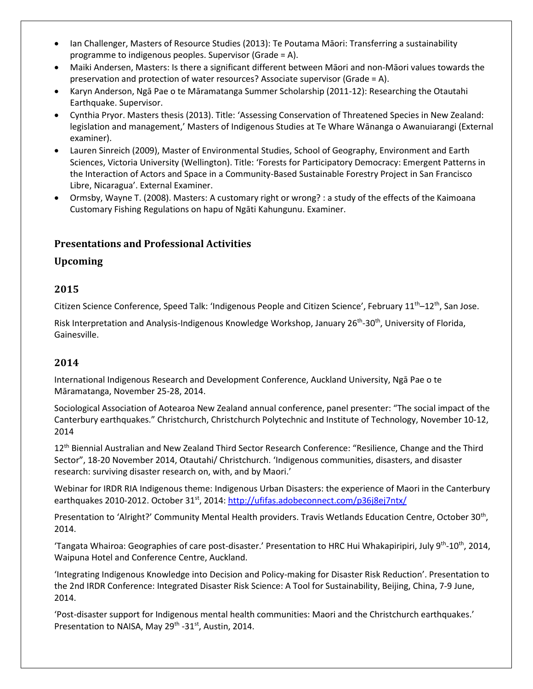- Ian Challenger, Masters of Resource Studies (2013): Te Poutama Māori: Transferring a sustainability programme to indigenous peoples. Supervisor (Grade = A).
- Maiki Andersen, Masters: Is there a significant different between Māori and non-Māori values towards the preservation and protection of water resources? Associate supervisor (Grade = A).
- Karyn Anderson, Ngā Pae o te Māramatanga Summer Scholarship (2011-12): Researching the Otautahi Earthquake. Supervisor.
- Cynthia Pryor. Masters thesis (2013). Title: 'Assessing Conservation of Threatened Species in New Zealand: legislation and management,' Masters of Indigenous Studies at Te Whare Wānanga o Awanuiarangi (External examiner).
- Lauren Sinreich (2009), Master of Environmental Studies, School of Geography, Environment and Earth Sciences, Victoria University (Wellington). Title: 'Forests for Participatory Democracy: Emergent Patterns in the Interaction of Actors and Space in a Community-Based Sustainable Forestry Project in San Francisco Libre, Nicaragua'. External Examiner.
- Ormsby, Wayne T. (2008). Masters: A customary right or wrong? : a study of the effects of the Kaimoana Customary Fishing Regulations on hapu of Ngāti Kahungunu. Examiner.

## **Presentations and Professional Activities**

## **Upcoming**

## **2015**

Citizen Science Conference, Speed Talk: 'Indigenous People and Citizen Science', February 11<sup>th</sup>–12<sup>th</sup>, San Jose.

Risk Interpretation and Analysis-Indigenous Knowledge Workshop, January 26<sup>th</sup>-30<sup>th</sup>, University of Florida, Gainesville.

## **2014**

International Indigenous Research and Development Conference, Auckland University, Ngā Pae o te Māramatanga, November 25-28, 2014.

Sociological Association of Aotearoa New Zealand annual conference, panel presenter: "The social impact of the Canterbury earthquakes." Christchurch, Christchurch Polytechnic and Institute of Technology, November 10-12, 2014

12<sup>th</sup> Biennial Australian and New Zealand Third Sector Research Conference: "Resilience, Change and the Third Sector", 18-20 November 2014, Otautahi/ Christchurch. 'Indigenous communities, disasters, and disaster research: surviving disaster research on, with, and by Maori.'

Webinar for IRDR RIA Indigenous theme: Indigenous Urban Disasters: the experience of Maori in the Canterbury earthquakes 2010-2012. October 31<sup>st</sup>, 2014:<http://ufifas.adobeconnect.com/p36j8ej7ntx/>

Presentation to 'Alright?' Community Mental Health providers. Travis Wetlands Education Centre, October 30<sup>th</sup>, 2014.

'Tangata Whairoa: Geographies of care post-disaster.' Presentation to HRC Hui Whakapiripiri, July 9<sup>th</sup>-10<sup>th</sup>, 2014, Waipuna Hotel and Conference Centre, Auckland.

'Integrating Indigenous Knowledge into Decision and Policy-making for Disaster Risk Reduction'. Presentation to the 2nd IRDR Conference: Integrated Disaster Risk Science: A Tool for Sustainability, Beijing, China, 7-9 June, 2014.

'Post-disaster support for Indigenous mental health communities: Maori and the Christchurch earthquakes.' Presentation to NAISA, May 29<sup>th</sup> -31<sup>st</sup>, Austin, 2014.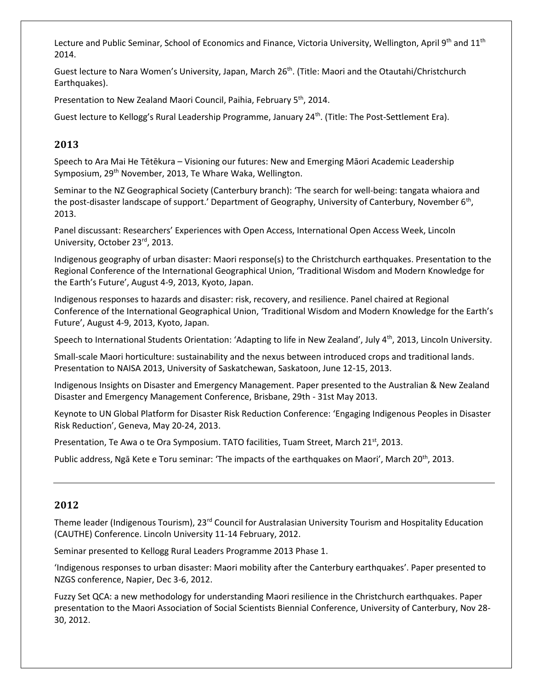Lecture and Public Seminar, School of Economics and Finance, Victoria University, Wellington, April 9<sup>th</sup> and 11<sup>th</sup> 2014.

Guest lecture to Nara Women's University, Japan, March 26<sup>th</sup>. (Title: Maori and the Otautahi/Christchurch Earthquakes).

Presentation to New Zealand Maori Council, Paihia, February 5<sup>th</sup>, 2014.

Guest lecture to Kellogg's Rural Leadership Programme, January 24<sup>th</sup>. (Title: The Post-Settlement Era).

## **2013**

Speech to Ara Mai He Tētēkura – Visioning our futures: New and Emerging Māori Academic Leadership Symposium, 29<sup>th</sup> November, 2013, Te Whare Waka, Wellington.

Seminar to the NZ Geographical Society (Canterbury branch): 'The search for well-being: tangata whaiora and the post-disaster landscape of support.' Department of Geography, University of Canterbury, November 6<sup>th</sup>, 2013.

Panel discussant: Researchers' Experiences with Open Access, International Open Access Week, Lincoln University, October 23rd, 2013.

Indigenous geography of urban disaster: Maori response(s) to the Christchurch earthquakes. Presentation to the Regional Conference of the International Geographical Union, 'Traditional Wisdom and Modern Knowledge for the Earth's Future', August 4-9, 2013, Kyoto, Japan.

Indigenous responses to hazards and disaster: risk, recovery, and resilience. Panel chaired at Regional Conference of the International Geographical Union, 'Traditional Wisdom and Modern Knowledge for the Earth's Future', August 4-9, 2013, Kyoto, Japan.

Speech to International Students Orientation: 'Adapting to life in New Zealand', July 4<sup>th</sup>, 2013, Lincoln University.

Small-scale Maori horticulture: sustainability and the nexus between introduced crops and traditional lands. Presentation to NAISA 2013, University of Saskatchewan, Saskatoon, June 12-15, 2013.

Indigenous Insights on Disaster and Emergency Management. Paper presented to the Australian & New Zealand Disaster and Emergency Management Conference, Brisbane, 29th - 31st May 2013.

Keynote to UN Global Platform for Disaster Risk Reduction Conference: 'Engaging Indigenous Peoples in Disaster Risk Reduction', Geneva, May 20-24, 2013.

Presentation, Te Awa o te Ora Symposium. TATO facilities, Tuam Street, March 21st, 2013.

Public address, Ngā Kete e Toru seminar: 'The impacts of the earthquakes on Maori', March 20<sup>th</sup>, 2013.

## **2012**

Theme leader (Indigenous Tourism), 23<sup>rd</sup> Council for Australasian University Tourism and Hospitality Education (CAUTHE) Conference. Lincoln University 11-14 February, 2012.

Seminar presented to Kellogg Rural Leaders Programme 2013 Phase 1.

'Indigenous responses to urban disaster: Maori mobility after the Canterbury earthquakes'. Paper presented to NZGS conference, Napier, Dec 3-6, 2012.

Fuzzy Set QCA: a new methodology for understanding Maori resilience in the Christchurch earthquakes. Paper presentation to the Maori Association of Social Scientists Biennial Conference, University of Canterbury, Nov 28- 30, 2012.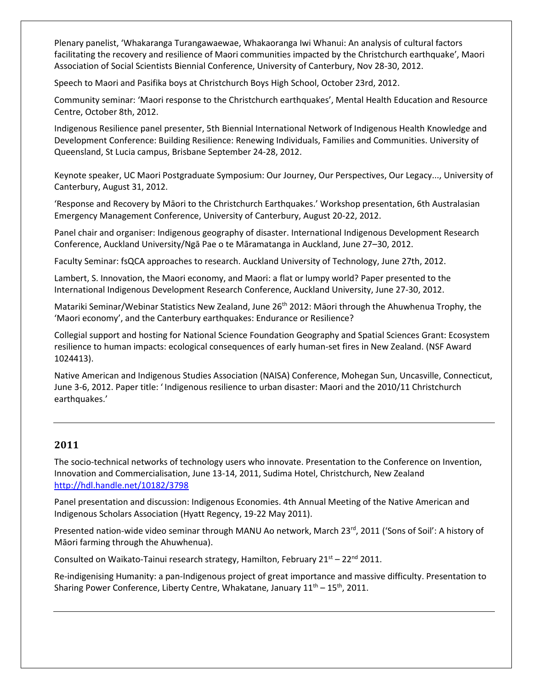Plenary panelist, 'Whakaranga Turangawaewae, Whakaoranga Iwi Whanui: An analysis of cultural factors facilitating the recovery and resilience of Maori communities impacted by the Christchurch earthquake', Maori Association of Social Scientists Biennial Conference, University of Canterbury, Nov 28-30, 2012.

Speech to Maori and Pasifika boys at Christchurch Boys High School, October 23rd, 2012.

Community seminar: 'Maori response to the Christchurch earthquakes', Mental Health Education and Resource Centre, October 8th, 2012.

Indigenous Resilience panel presenter, 5th Biennial International Network of Indigenous Health Knowledge and Development Conference: Building Resilience: Renewing Individuals, Families and Communities. University of Queensland, St Lucia campus, Brisbane September 24-28, 2012.

Keynote speaker, UC Maori Postgraduate Symposium: Our Journey, Our Perspectives, Our Legacy..., University of Canterbury, August 31, 2012.

'Response and Recovery by Māori to the Christchurch Earthquakes.' Workshop presentation, 6th Australasian Emergency Management Conference, University of Canterbury, August 20-22, 2012.

Panel chair and organiser: Indigenous geography of disaster. International Indigenous Development Research Conference, Auckland University/Ngā Pae o te Māramatanga in Auckland, June 27–30, 2012.

Faculty Seminar: fsQCA approaches to research. Auckland University of Technology, June 27th, 2012.

Lambert, S. Innovation, the Maori economy, and Maori: a flat or lumpy world? Paper presented to the International Indigenous Development Research Conference, Auckland University, June 27-30, 2012.

Matariki Seminar/Webinar Statistics New Zealand, June 26<sup>th</sup> 2012: Māori through the Ahuwhenua Trophy, the 'Maori economy', and the Canterbury earthquakes: Endurance or Resilience?

Collegial support and hosting for National Science Foundation Geography and Spatial Sciences Grant: Ecosystem resilience to human impacts: ecological consequences of early human-set fires in New Zealand. (NSF Award 1024413).

Native American and Indigenous Studies Association (NAISA) Conference, Mohegan Sun, Uncasville, Connecticut, June 3-6, 2012. Paper title: ' Indigenous resilience to urban disaster: Maori and the 2010/11 Christchurch earthquakes.'

## **2011**

The socio-technical networks of technology users who innovate. Presentation to the Conference on Invention, Innovation and Commercialisation, June 13-14, 2011, Sudima Hotel, Christchurch, New Zealand <http://hdl.handle.net/10182/3798>

Panel presentation and discussion: Indigenous Economies. 4th Annual Meeting of the Native American and Indigenous Scholars Association (Hyatt Regency, 19-22 May 2011).

Presented nation-wide video seminar through MANU Ao network, March 23rd, 2011 ('Sons of Soil': A history of Māori farming through the Ahuwhenua).

Consulted on Waikato-Tainui research strategy, Hamilton, February  $21^{st} - 22^{nd}$  2011.

Re-indigenising Humanity: a pan-Indigenous project of great importance and massive difficulty. Presentation to Sharing Power Conference, Liberty Centre, Whakatane, January  $11^{th} - 15^{th}$ , 2011.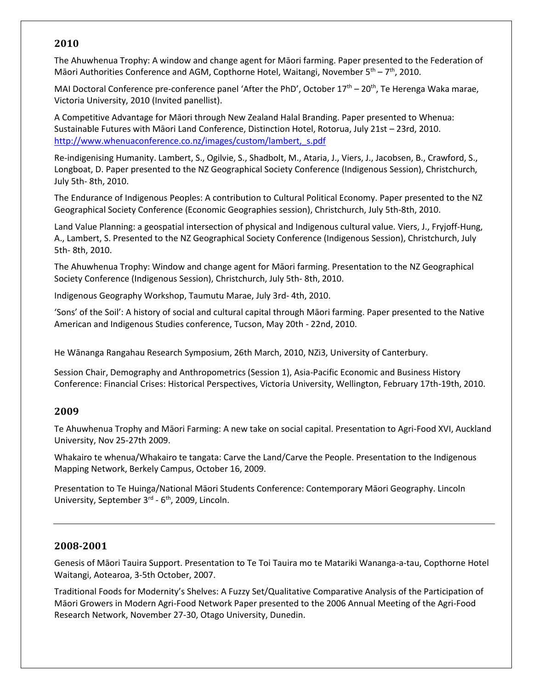#### **2010**

The Ahuwhenua Trophy: A window and change agent for Māori farming. Paper presented to the Federation of Māori Authorities Conference and AGM, Copthorne Hotel, Waitangi, November 5<sup>th</sup> – 7<sup>th</sup>, 2010.

MAI Doctoral Conference pre-conference panel 'After the PhD', October  $17<sup>th</sup> - 20<sup>th</sup>$ , Te Herenga Waka marae, Victoria University, 2010 (Invited panellist).

A Competitive Advantage for Māori through New Zealand Halal Branding. Paper presented to Whenua: Sustainable Futures with Māori Land Conference, Distinction Hotel, Rotorua, July 21st – 23rd, 2010. http://www.whenuaconference.co.nz/images/custom/lambert, s.pdf

Re-indigenising Humanity. Lambert, S., Ogilvie, S., Shadbolt, M., Ataria, J., Viers, J., Jacobsen, B., Crawford, S., Longboat, D. Paper presented to the NZ Geographical Society Conference (Indigenous Session), Christchurch, July 5th- 8th, 2010.

The Endurance of Indigenous Peoples: A contribution to Cultural Political Economy. Paper presented to the NZ Geographical Society Conference (Economic Geographies session), Christchurch, July 5th-8th, 2010.

Land Value Planning: a geospatial intersection of physical and Indigenous cultural value. Viers, J., Fryjoff-Hung, A., Lambert, S. Presented to the NZ Geographical Society Conference (Indigenous Session), Christchurch, July 5th- 8th, 2010.

The Ahuwhenua Trophy: Window and change agent for Māori farming. Presentation to the NZ Geographical Society Conference (Indigenous Session), Christchurch, July 5th- 8th, 2010.

Indigenous Geography Workshop, Taumutu Marae, July 3rd- 4th, 2010.

'Sons' of the Soil': A history of social and cultural capital through Māori farming. Paper presented to the Native American and Indigenous Studies conference, Tucson, May 20th - 22nd, 2010.

He Wānanga Rangahau Research Symposium, 26th March, 2010, NZi3, University of Canterbury.

Session Chair, Demography and Anthropometrics (Session 1), Asia-Pacific Economic and Business History Conference: Financial Crises: Historical Perspectives, Victoria University, Wellington, February 17th-19th, 2010.

#### **2009**

Te Ahuwhenua Trophy and Māori Farming: A new take on social capital. Presentation to Agri-Food XVI, Auckland University, Nov 25-27th 2009.

Whakairo te whenua/Whakairo te tangata: Carve the Land/Carve the People. Presentation to the Indigenous Mapping Network, Berkely Campus, October 16, 2009.

Presentation to Te Huinga/National Māori Students Conference: Contemporary Māori Geography. Lincoln University, September 3<sup>rd</sup> - 6<sup>th</sup>, 2009, Lincoln.

#### **2008-2001**

Genesis of Māori Tauira Support. Presentation to Te Toi Tauira mo te Matariki Wananga-a-tau, Copthorne Hotel Waitangi, Aotearoa, 3-5th October, 2007.

Traditional Foods for Modernity's Shelves: A Fuzzy Set/Qualitative Comparative Analysis of the Participation of Māori Growers in Modern Agri-Food Network Paper presented to the 2006 Annual Meeting of the Agri-Food Research Network, November 27-30, Otago University, Dunedin.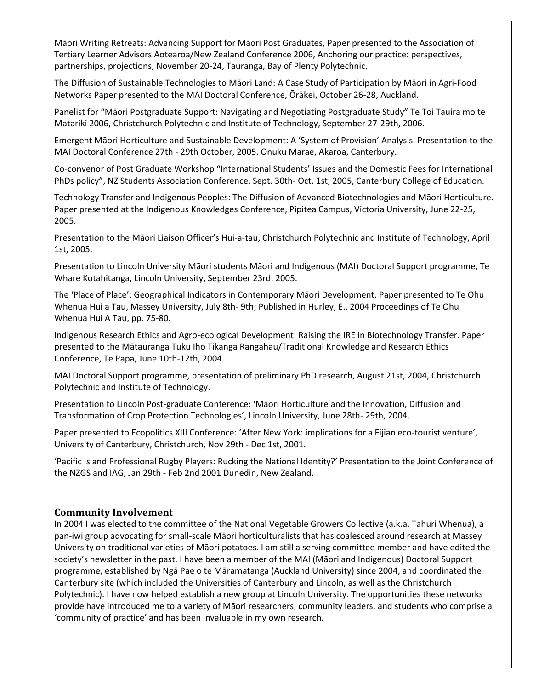Māori Writing Retreats: Advancing Support for Māori Post Graduates, Paper presented to the Association of Tertiary Learner Advisors Aotearoa/New Zealand Conference 2006, Anchoring our practice: perspectives, partnerships, projections, November 20-24, Tauranga, Bay of Plenty Polytechnic.

The Diffusion of Sustainable Technologies to Māori Land: A Case Study of Participation by Māori in Agri-Food Networks Paper presented to the MAI Doctoral Conference, Ōrākei, October 26-28, Auckland.

Panelist for "Māori Postgraduate Support: Navigating and Negotiating Postgraduate Study" Te Toi Tauira mo te Matariki 2006, Christchurch Polytechnic and Institute of Technology, September 27-29th, 2006.

Emergent Māori Horticulture and Sustainable Development: A 'System of Provision' Analysis. Presentation to the MAI Doctoral Conference 27th - 29th October, 2005. Onuku Marae, Akaroa, Canterbury.

Co-convenor of Post Graduate Workshop "International Students' Issues and the Domestic Fees for International PhDs policy", NZ Students Association Conference, Sept. 30th- Oct. 1st, 2005, Canterbury College of Education.

Technology Transfer and Indigenous Peoples: The Diffusion of Advanced Biotechnologies and Māori Horticulture. Paper presented at the Indigenous Knowledges Conference, Pipitea Campus, Victoria University, June 22-25, 2005.

Presentation to the Māori Liaison Officer's Hui-a-tau, Christchurch Polytechnic and Institute of Technology, April 1st, 2005.

Presentation to Lincoln University Māori students Māori and Indigenous (MAI) Doctoral Support programme, Te Whare Kotahitanga, Lincoln University, September 23rd, 2005.

The 'Place of Place': Geographical Indicators in Contemporary Māori Development. Paper presented to Te Ohu Whenua Hui a Tau, Massey University, July 8th- 9th; Published in Hurley, E., 2004 Proceedings of Te Ohu Whenua Hui A Tau, pp. 75-80.

Indigenous Research Ethics and Agro-ecological Development: Raising the IRE in Biotechnology Transfer. Paper presented to the Mātauranga Tuku Iho Tikanga Rangahau/Traditional Knowledge and Research Ethics Conference, Te Papa, June 10th-12th, 2004.

MAI Doctoral Support programme, presentation of preliminary PhD research, August 21st, 2004, Christchurch Polytechnic and Institute of Technology.

Presentation to Lincoln Post-graduate Conference: 'Māori Horticulture and the Innovation, Diffusion and Transformation of Crop Protection Technologies', Lincoln University, June 28th- 29th, 2004.

Paper presented to Ecopolitics XIII Conference: 'After New York: implications for a Fijian eco-tourist venture', University of Canterbury, Christchurch, Nov 29th - Dec 1st, 2001.

'Pacific Island Professional Rugby Players: Rucking the National Identity?' Presentation to the Joint Conference of the NZGS and IAG, Jan 29th - Feb 2nd 2001 Dunedin, New Zealand.

#### **Community Involvement**

In 2004 I was elected to the committee of the National Vegetable Growers Collective (a.k.a. Tahuri Whenua), a pan-iwi group advocating for small-scale Māori horticulturalists that has coalesced around research at Massey University on traditional varieties of Māori potatoes. I am still a serving committee member and have edited the society's newsletter in the past. I have been a member of the MAI (Māori and Indigenous) Doctoral Support programme, established by Ngā Pae o te Māramatanga (Auckland University) since 2004, and coordinated the Canterbury site (which included the Universities of Canterbury and Lincoln, as well as the Christchurch Polytechnic). I have now helped establish a new group at Lincoln University. The opportunities these networks provide have introduced me to a variety of Māori researchers, community leaders, and students who comprise a 'community of practice' and has been invaluable in my own research.